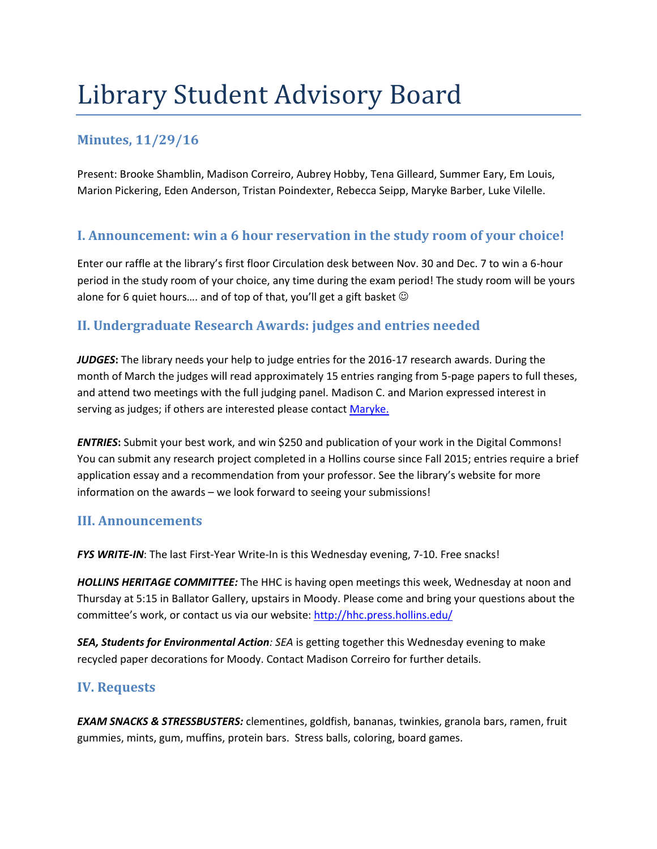# Library Student Advisory Board

## **Minutes, 11/29/16**

Present: Brooke Shamblin, Madison Correiro, Aubrey Hobby, Tena Gilleard, Summer Eary, Em Louis, Marion Pickering, Eden Anderson, Tristan Poindexter, Rebecca Seipp, Maryke Barber, Luke Vilelle.

### **I. Announcement: win a 6 hour reservation in the study room of your choice!**

Enter our raffle at the library's first floor Circulation desk between Nov. 30 and Dec. 7 to win a 6-hour period in the study room of your choice, any time during the exam period! The study room will be yours alone for 6 quiet hours.... and of top of that, you'll get a gift basket  $\odot$ 

## **II. Undergraduate Research Awards: judges and entries needed**

*JUDGES***:** The library needs your help to judge entries for the 2016-17 research awards. During the month of March the judges will read approximately 15 entries ranging from 5-page papers to full theses, and attend two meetings with the full judging panel. Madison C. and Marion expressed interest in serving as judges; if others are interested please contact [Maryke.](mailto:mbarber@hollins.edu)

*ENTRIES***:** Submit your best work, and win \$250 and publication of your work in the Digital Commons! You can submit any research project completed in a Hollins course since Fall 2015; entries require a brief application essay and a recommendation from your professor. See the library's website for more information on the awards – we look forward to seeing your submissions!

#### **III. Announcements**

*FYS WRITE-IN*: The last First-Year Write-In is this Wednesday evening, 7-10. Free snacks!

*HOLLINS HERITAGE COMMITTEE:* The HHC is having open meetings this week, Wednesday at noon and Thursday at 5:15 in Ballator Gallery, upstairs in Moody. Please come and bring your questions about the committee's work, or contact us via our website[: http://hhc.press.hollins.edu/](http://hhc.press.hollins.edu/)

*SEA, Students for Environmental Action: SEA* is getting together this Wednesday evening to make recycled paper decorations for Moody. Contact Madison Correiro for further details.

#### **IV. Requests**

*EXAM SNACKS & STRESSBUSTERS:* clementines, goldfish, bananas, twinkies, granola bars, ramen, fruit gummies, mints, gum, muffins, protein bars. Stress balls, coloring, board games.